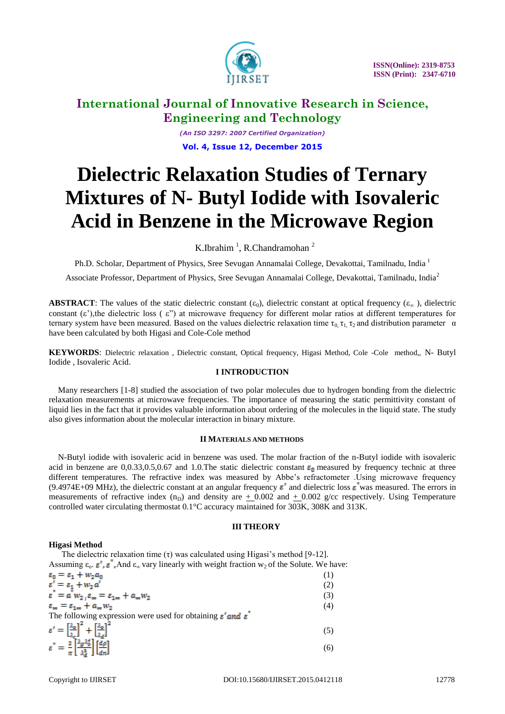

*(An ISO 3297: 2007 Certified Organization)* **Vol. 4, Issue 12, December 2015**

# **Dielectric Relaxation Studies of Ternary Mixtures of N- Butyl Iodide with Isovaleric Acid in Benzene in the Microwave Region**

K.Ibrahim<sup>1</sup>, R.Chandramohan<sup>2</sup>

Ph.D. Scholar, Department of Physics, Sree Sevugan Annamalai College, Devakottai, Tamilnadu, India <sup>1</sup>

Associate Professor, Department of Physics, Sree Sevugan Annamalai College, Devakottai, Tamilnadu, India<sup>2</sup>

**ABSTRACT**: The values of the static dielectric constant  $(\epsilon_0)$ , dielectric constant at optical frequency  $(\epsilon_{\infty})$ , dielectric constant  $(\epsilon)$ , the dielectric loss  $(\epsilon)$  at microwave frequency for different molar ratios at different temperatures for ternary system have been measured. Based on the values dielectric relaxation time  $\tau_0$ ,  $\tau_1$ ,  $\tau_2$  and distribution parameter  $\alpha$ have been calculated by both Higasi and Cole-Cole method

**KEYWORDS**: Dielectric relaxation , Dielectric constant, Optical frequency, Higasi Method, Cole -Cole method,, N- Butyl Iodide , Isovaleric Acid.

## **I INTRODUCTION**

Many researchers [1-8] studied the association of two polar molecules due to hydrogen bonding from the dielectric relaxation measurements at microwave frequencies. The importance of measuring the static permittivity constant of liquid lies in the fact that it provides valuable information about ordering of the molecules in the liquid state. The study also gives information about the molecular interaction in binary mixture.

#### **II MATERIALS AND METHODS**

N-Butyl iodide with isovaleric acid in benzene was used. The molar fraction of the n-Butyl iodide with isovaleric acid in benzene are 0,0.33,0.5,0.67 and 1.0. The static dielectric constant  $\varepsilon_0$  measured by frequency technic at three different temperatures. The refractive index was measured by Abbe's refractometer . Using microwave frequency (9.4974E+09 MHz), the dielectric constant at an angular frequency  $\epsilon'$  and dielectric loss  $\epsilon''$  was measured. The errors in measurements of refractive index (n<sub>D</sub>) and density are  $+$  0.002 and  $+$  0.002 g/cc respectively. Using Temperature controlled water circulating thermostat 0.1°C accuracy maintained for 303K, 308K and 313K.

## **III THEORY**

## **Higasi Method**

The dielectric relaxation time  $(\tau)$  was calculated using Higasi's method [9-12]. Assuming  $\varepsilon_0$ .  $\varepsilon'$ ,  $\varepsilon''$ , And  $\varepsilon_{\infty}$  vary linearly with weight fraction w<sub>2</sub> of the Solute. We have: (1) (2)  $\varepsilon^{\dagger} = a^{\dagger} w_2^{\dagger}, \varepsilon_{\infty} = \varepsilon_{1\infty} + a_{\infty} w_2^{\dagger}$  (3) (4) The following expression were used for obtaining  $\varepsilon'$  and  $\varepsilon$ <sup>"</sup>  $\varepsilon' = \left[\frac{\lambda_0}{\lambda_1}\right]^2 + \left[\frac{\lambda_0}{\lambda_2}\right]^2$  (5)  $\varepsilon^{\dagger} = \frac{2}{\pi} \left[ \frac{\lambda_g \lambda_0^2}{\lambda_0^2} \right] \left[ \frac{d\rho}{dn} \right]$ (6)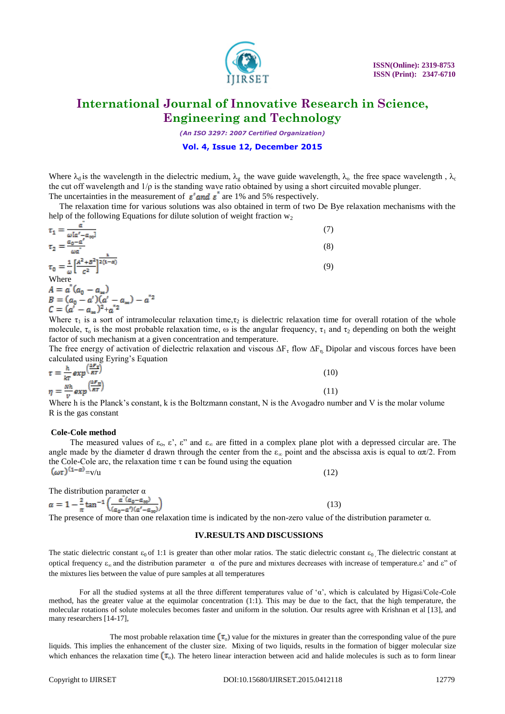

*(An ISO 3297: 2007 Certified Organization)*

#### **Vol. 4, Issue 12, December 2015**

Where  $\lambda_d$  is the wavelength in the dielectric medium,  $\lambda_g$  the wave guide wavelength,  $\lambda_o$  the free space wavelength,  $\lambda_c$ the cut off wavelength and  $1/\rho$  is the standing wave ratio obtained by using a short circuited movable plunger.

The uncertainties in the measurement of  $\varepsilon'$  and  $\varepsilon''$  are 1% and 5% respectively.

 The relaxation time for various solutions was also obtained in term of two De Bye relaxation mechanisms with the help of the following Equations for dilute solution of weight fraction  $w_2$ 

| $\tau_1 = \frac{\overline{\omega[a'-a_{\infty}]} }{\omega[a'-a_{\infty}]}$<br>$\tau_2 = \frac{a_0 - a'}{a_0 - a}$ | (8) |
|-------------------------------------------------------------------------------------------------------------------|-----|
| $\tau_0=\frac{1}{\omega}\Big[\frac{A^2+B^2}{c^2}\Big]^{\overline{2(1-\alpha)}}$                                   | (9) |

Where  
\n
$$
A = a^{*}(a_{0} - a_{\infty})
$$
\n
$$
B = (a_{0} - a')(a' - a_{\infty}) - a^{*2}
$$
\n
$$
C = (a' - a_{\infty})^{2} + a^{*2}
$$

Where  $\tau_1$  is a sort of intramolecular relaxation time,  $\tau_2$  is dielectric relaxation time for overall rotation of the whole molecule,  $\tau_0$  is the most probable relaxation time,  $\omega$  is the angular frequency,  $\tau_1$  and  $\tau_2$  depending on both the weight factor of such mechanism at a given concentration and temperature.

The free energy of activation of dielectric relaxation and viscous  $\Delta F_t$  flow  $\Delta F_n$ . Dipolar and viscous forces have been calculated using Eyring"s Equation

$$
\tau = \frac{\hbar}{kr} \exp\left(\frac{2\pi r}{RT}\right) \tag{10}
$$
\n
$$
\eta = \frac{N\hbar}{v} \exp\left(\frac{\Delta F \eta}{RT}\right) \tag{11}
$$

Where h is the Planck's constant, k is the Boltzmann constant, N is the Avogadro number and V is the molar volume R is the gas constant

#### **Cole-Cole method**

The measured values of  $\varepsilon_0$ ,  $\varepsilon'$ ,  $\varepsilon''$  and  $\varepsilon_{\infty}$  are fitted in a complex plane plot with a depressed circular are. The angle made by the diameter d drawn through the center from the  $\varepsilon_{\infty}$  point and the abscissa axis is equal to  $\alpha\pi/2$ . From the Cole-Cole arc, the relaxation time  $\tau$  can be found using the equation  $\left(\omega\tau\right)^{(1-\alpha)} = v/u$  $=v/u$  (12)

The distribution parameter 
$$
\alpha
$$
  
\n
$$
\alpha = 1 - \frac{2}{\pi} \tan^{-1} \left( \frac{a^{\dagger} (a_0 - a_{\infty})}{(a_0 - a') (a' - a_{\infty})} \right)
$$
\n(13)

The presence of more than one relaxation time is indicated by the non-zero value of the distribution parameter  $\alpha$ .

#### **IV.RESULTS AND DISCUSSIONS**

The static dielectric constant  $\varepsilon_0$  of 1:1 is greater than other molar ratios. The static dielectric constant  $\varepsilon_0$ . The dielectric constant at optical frequency  $ε_{\infty}$  and the distribution parameter  $\alpha$  of the pure and mixtures decreases with increase of temperature.ε' and ε" of the mixtures lies between the value of pure samples at all temperatures

For all the studied systems at all the three different temperatures value of "α", which is calculated by Higasi/Cole-Cole method, has the greater value at the equimolar concentration (1:1). This may be due to the fact, that the high temperature, the molecular rotations of solute molecules becomes faster and uniform in the solution. Our results agree with Krishnan et al [13], and many researchers [14-17],

The most probable relaxation time  $(\tau_0)$  value for the mixtures in greater than the corresponding value of the pure liquids. This implies the enhancement of the cluster size. Mixing of two liquids, results in the formation of bigger molecular size which enhances the relaxation time  $(\tau_o)$ . The hetero linear interaction between acid and halide molecules is such as to form linear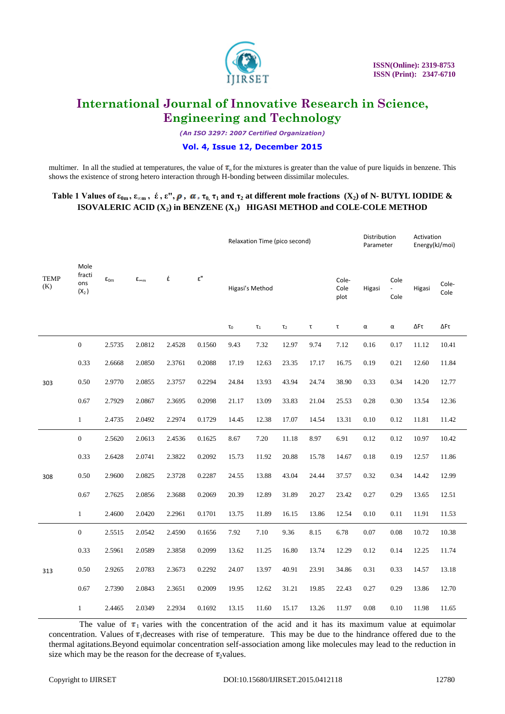

*(An ISO 3297: 2007 Certified Organization)*

## **Vol. 4, Issue 12, December 2015**

multimer. In all the studied at temperatures, the value of  $\tau_0$  for the mixtures is greater than the value of pure liquids in benzene. This shows the existence of strong hetero interaction through H-bonding between dissimilar molecules.

## **Table 1 Values of**  $\varepsilon_{0m}$ **,**  $\varepsilon_{\infty m}$ **,**  $\acute{\epsilon}$ **,**  $\varepsilon''$ **,**  $\rho$ **,**  $\alpha$ **,**  $\tau_0$ **,**  $\tau_1$  **and**  $\tau_2$  **at different mole fractions**  $(X_2)$  **of N-BUTYL IODIDE**  $\&$ **ISOVALERIC ACID (X2) in BENZENE (X1) HIGASI METHOD and COLE-COLE METHOD**

|                    | Mole<br>fracti<br>ons<br>$(X_2)$ | $\epsilon_{0m}$ |                       | έ      | $\epsilon$ " | Relaxation Time (pico second) |          |          |                           | Distribution<br>Parameter |          | Activation<br>Energy(kJ/moi) |        |               |
|--------------------|----------------------------------|-----------------|-----------------------|--------|--------------|-------------------------------|----------|----------|---------------------------|---------------------------|----------|------------------------------|--------|---------------|
| <b>TEMP</b><br>(K) |                                  |                 | $\epsilon_{\infty m}$ |        |              | Higasi's Method               |          |          |                           | Cole-<br>Cole<br>plot     | Higasi   | Cole<br>Cole                 | Higasi | Cole-<br>Cole |
|                    |                                  |                 |                       |        |              | $\tau_0$                      | $\tau_1$ | $\tau_2$ | $\ensuremath{\mathsf{T}}$ | $\ensuremath{\mathsf{T}}$ | $\alpha$ | α                            | ΔFτ    | ΔFτ           |
| 303                | $\boldsymbol{0}$                 | 2.5735          | 2.0812                | 2.4528 | 0.1560       | 9.43                          | 7.32     | 12.97    | 9.74                      | 7.12                      | 0.16     | 0.17                         | 11.12  | 10.41         |
|                    | 0.33                             | 2.6668          | 2.0850                | 2.3761 | 0.2088       | 17.19                         | 12.63    | 23.35    | 17.17                     | 16.75                     | 0.19     | 0.21                         | 12.60  | 11.84         |
|                    | 0.50                             | 2.9770          | 2.0855                | 2.3757 | 0.2294       | 24.84                         | 13.93    | 43.94    | 24.74                     | 38.90                     | 0.33     | 0.34                         | 14.20  | 12.77         |
|                    | 0.67                             | 2.7929          | 2.0867                | 2.3695 | 0.2098       | 21.17                         | 13.09    | 33.83    | 21.04                     | 25.53                     | 0.28     | 0.30                         | 13.54  | 12.36         |
|                    | $\mathbf{1}$                     | 2.4735          | 2.0492                | 2.2974 | 0.1729       | 14.45                         | 12.38    | 17.07    | 14.54                     | 13.31                     | 0.10     | 0.12                         | 11.81  | 11.42         |
| 308                | $\boldsymbol{0}$                 | 2.5620          | 2.0613                | 2.4536 | 0.1625       | 8.67                          | 7.20     | 11.18    | 8.97                      | 6.91                      | 0.12     | 0.12                         | 10.97  | 10.42         |
|                    | 0.33                             | 2.6428          | 2.0741                | 2.3822 | 0.2092       | 15.73                         | 11.92    | 20.88    | 15.78                     | 14.67                     | 0.18     | 0.19                         | 12.57  | 11.86         |
|                    | 0.50                             | 2.9600          | 2.0825                | 2.3728 | 0.2287       | 24.55                         | 13.88    | 43.04    | 24.44                     | 37.57                     | 0.32     | 0.34                         | 14.42  | 12.99         |
|                    | 0.67                             | 2.7625          | 2.0856                | 2.3688 | 0.2069       | 20.39                         | 12.89    | 31.89    | 20.27                     | 23.42                     | 0.27     | 0.29                         | 13.65  | 12.51         |
|                    | $\mathbf{1}$                     | 2.4600          | 2.0420                | 2.2961 | 0.1701       | 13.75                         | 11.89    | 16.15    | 13.86                     | 12.54                     | 0.10     | 0.11                         | 11.91  | 11.53         |
| 313                | $\boldsymbol{0}$                 | 2.5515          | 2.0542                | 2.4590 | 0.1656       | 7.92                          | 7.10     | 9.36     | 8.15                      | 6.78                      | 0.07     | 0.08                         | 10.72  | 10.38         |
|                    | 0.33                             | 2.5961          | 2.0589                | 2.3858 | 0.2099       | 13.62                         | 11.25    | 16.80    | 13.74                     | 12.29                     | 0.12     | 0.14                         | 12.25  | 11.74         |
|                    | 0.50                             | 2.9265          | 2.0783                | 2.3673 | 0.2292       | 24.07                         | 13.97    | 40.91    | 23.91                     | 34.86                     | 0.31     | 0.33                         | 14.57  | 13.18         |
|                    | 0.67                             | 2.7390          | 2.0843                | 2.3651 | 0.2009       | 19.95                         | 12.62    | 31.21    | 19.85                     | 22.43                     | 0.27     | 0.29                         | 13.86  | 12.70         |
|                    | $\mathbf{1}$                     | 2.4465          | 2.0349                | 2.2934 | 0.1692       | 13.15                         | 11.60    | 15.17    | 13.26                     | 11.97                     | 0.08     | 0.10                         | 11.98  | 11.65         |

The value of  $\tau_1$  varies with the concentration of the acid and it has its maximum value at equimolar concentration. Values of  $\tau_1$  decreases with rise of temperature. This may be due to the hindrance offered due to the thermal agitations.Beyond equimolar concentration self-association among like molecules may lead to the reduction in size which may be the reason for the decrease of  $\tau_2$ values.